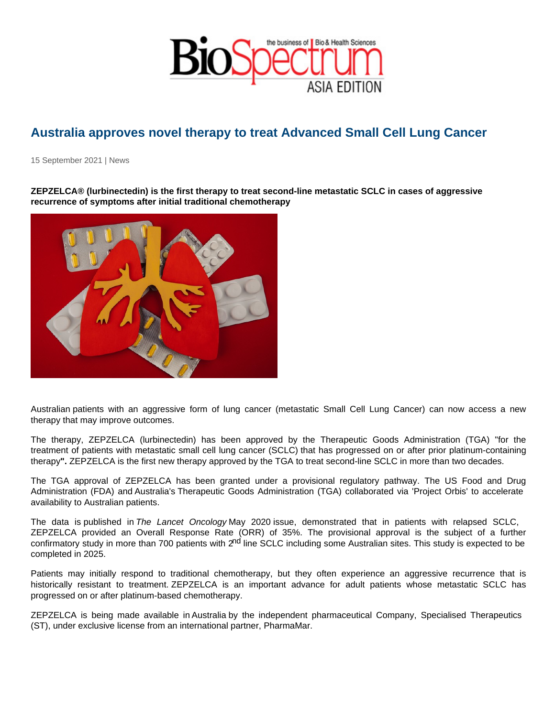## Australia approves novel therapy to treat Advanced Small Cell Lung Cancer

15 September 2021 | News

ZEPZELCA® (lurbinectedin) is the first therapy to treat second-line metastatic SCLC in cases of aggressive recurrence of symptoms after initial traditional chemotherapy

Australian patients with an aggressive form of lung cancer (metastatic Small Cell Lung Cancer) can now access a new therapy that may improve outcomes.

The therapy, ZEPZELCA (lurbinectedin) has been approved by the Therapeutic Goods Administration (TGA) "for the treatment of patients with metastatic small cell lung cancer (SCLC) that has progressed on or after prior platinum-containing therapy". ZEPZELCA is the first new therapy approved by the TGA to treat second-line SCLC in more than two decades.

The TGA approval of ZEPZELCA has been granted under a provisional regulatory pathway. The US Food and Drug Administration (FDA) and Australia's Therapeutic Goods Administration (TGA) collaborated via 'Project Orbis' to accelerate availability to Australian patients.

The data is published in The Lancet Oncology May 2020 issue, demonstrated that in patients with relapsed SCLC, ZEPZELCA provided an Overall Response Rate (ORR) of 35%. The provisional approval is the subject of a further confirmatory study in more than 700 patients with 2<sup>nd</sup> line SCLC including some Australian sites. This study is expected to be completed in 2025.

Patients may initially respond to traditional chemotherapy, but they often experience an aggressive recurrence that is historically resistant to treatment. ZEPZELCA is an important advance for adult patients whose metastatic SCLC has progressed on or after platinum-based chemotherapy.

ZEPZELCA is being made available in Australia by the independent pharmaceutical Company, Specialised Therapeutics (ST), under exclusive license from an international partner, PharmaMar.